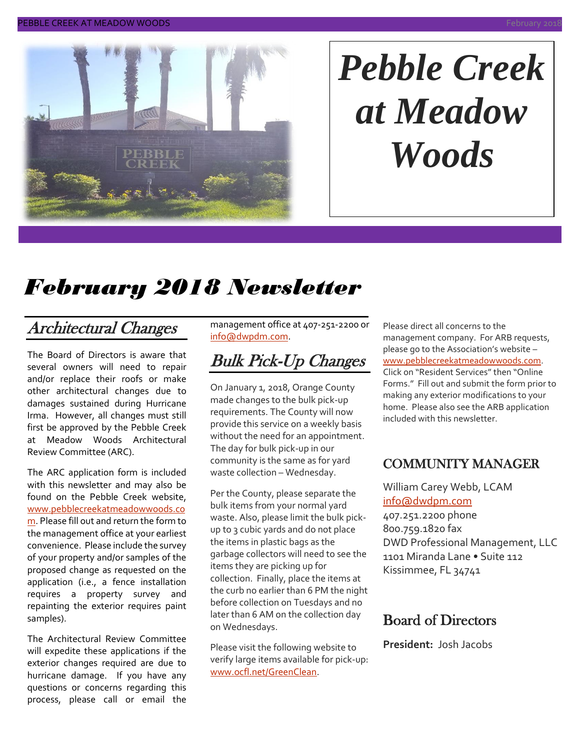

# *Pebble Creek at Meadow Woods*

# *February 2018 Newsletter*

## Architectural Changes

The Board of Directors is aware that several owners will need to repair and/or replace their roofs or make other architectural changes due to damages sustained during Hurricane Irma. However, all changes must still first be approved by the Pebble Creek at Meadow Woods Architectural Review Committee (ARC).

The ARC application form is included with this newsletter and may also be found on the Pebble Creek website, [www.pebblecreekatmeadowwoods.co](http://www.pebblecreekatmeadowwoods.com/) [m.](http://www.pebblecreekatmeadowwoods.com/) Please fill out and return the form to the management office at your earliest convenience. Please include the survey of your property and/or samples of the proposed change as requested on the application (i.e., a fence installation requires a property survey and repainting the exterior requires paint samples).

The Architectural Review Committee will expedite these applications if the exterior changes required are due to hurricane damage. If you have any questions or concerns regarding this process, please call or email the management office at 407-251-2200 or [info@dwpdm.com.](mailto:info@dwpdm.com)

## Bulk Pick-Up Changes

On January 1, 2018, Orange County made changes to the bulk pick-up requirements. The County will now provide this service on a weekly basis without the need for an appointment. The day for bulk pick-up in our community is the same as for yard waste collection – Wednesday.

Per the County, please separate the bulk items from your normal yard waste. Also, please limit the bulk pickup to 3 cubic yards and do not place the items in plastic bags as the garbage collectors will need to see the items they are picking up for collection. Finally, place the items at the curb no earlier than 6 PM the night before collection on Tuesdays and no later than 6 AM on the collection day on Wednesdays.

Please visit the following website to verify large items available for pick-up: [www.ocfl.net/GreenClean.](http://www.ocfl.net/GreenClean)

Please direct all concerns to the management company. For ARB requests, please go to the Association's website – [www.pebblecreekatmeadowwoods.com.](http://www.pebblecreekatmeadowwoods.com/) Click on "Resident Services" then "Online Forms." Fill out and submit the form prior to making any exterior modifications to your home. Please also see the ARB application included with this newsletter.

#### COMMUNITY MANAGER

William Carey Webb, LCAM [info@dwdpm.com](mailto:info@dwdpm.com)  407.251.2200 phone

800.759.1820 fax DWD Professional Management, LLC 1101 Miranda Lane • Suite 112 Kissimmee, FL 34741

#### Board of Directors

**President:** Josh Jacobs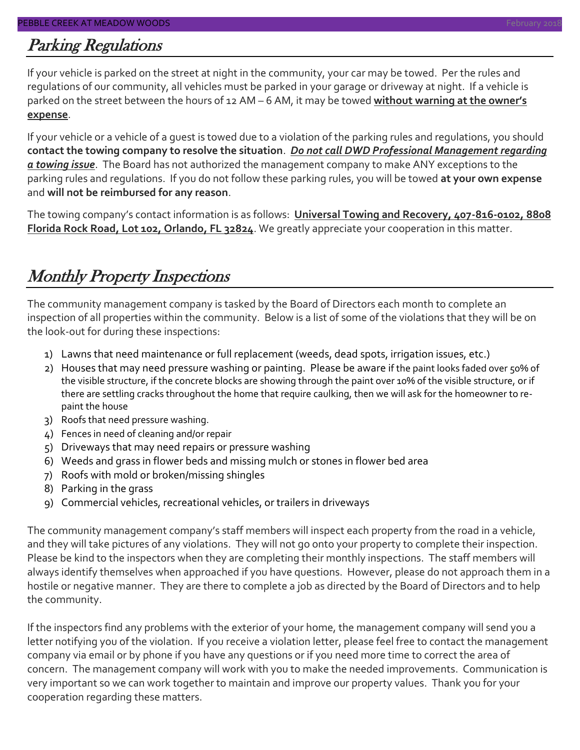#### Parking Regulations

If your vehicle is parked on the street at night in the community, your car may be towed. Per the rules and regulations of our community, all vehicles must be parked in your garage or driveway at night. If a vehicle is parked on the street between the hours of 12 AM – 6 AM, it may be towed **without warning at the owner's expense**.

If your vehicle or a vehicle of a guest is towed due to a violation of the parking rules and regulations, you should **contact the towing company to resolve the situation**. *Do not call DWD Professional Management regarding a towing issue*. The Board has not authorized the management company to make ANY exceptions to the parking rules and regulations. If you do not follow these parking rules, you will be towed **at your own expense** and **will not be reimbursed for any reason**.

The towing company's contact information is as follows: **Universal Towing and Recovery, 407-816-0102, 8808 Florida Rock Road, Lot 102, Orlando, FL 32824**. We greatly appreciate your cooperation in this matter.

## Monthly Property Inspections

The community management company is tasked by the Board of Directors each month to complete an inspection of all properties within the community. Below is a list of some of the violations that they will be on the look-out for during these inspections:

- 1) Lawns that need maintenance or full replacement (weeds, dead spots, irrigation issues, etc.)
- 2) Houses that may need pressure washing or painting. Please be aware if the paint looks faded over 50% of the visible structure, if the concrete blocks are showing through the paint over 10% of the visible structure, or if there are settling cracks throughout the home that require caulking, then we will ask for the homeowner to repaint the house
- 3) Roofs that need pressure washing.
- 4) Fences in need of cleaning and/or repair
- 5) Driveways that may need repairs or pressure washing
- 6) Weeds and grass in flower beds and missing mulch or stones in flower bed area
- 7) Roofs with mold or broken/missing shingles
- 8) Parking in the grass
- 9) Commercial vehicles, recreational vehicles, or trailers in driveways

The community management company's staff members will inspect each property from the road in a vehicle, and they will take pictures of any violations. They will not go onto your property to complete their inspection. Please be kind to the inspectors when they are completing their monthly inspections. The staff members will always identify themselves when approached if you have questions. However, please do not approach them in a hostile or negative manner. They are there to complete a job as directed by the Board of Directors and to help the community.

If the inspectors find any problems with the exterior of your home, the management company will send you a letter notifying you of the violation. If you receive a violation letter, please feel free to contact the management company via email or by phone if you have any questions or if you need more time to correct the area of concern. The management company will work with you to make the needed improvements. Communication is very important so we can work together to maintain and improve our property values. Thank you for your cooperation regarding these matters.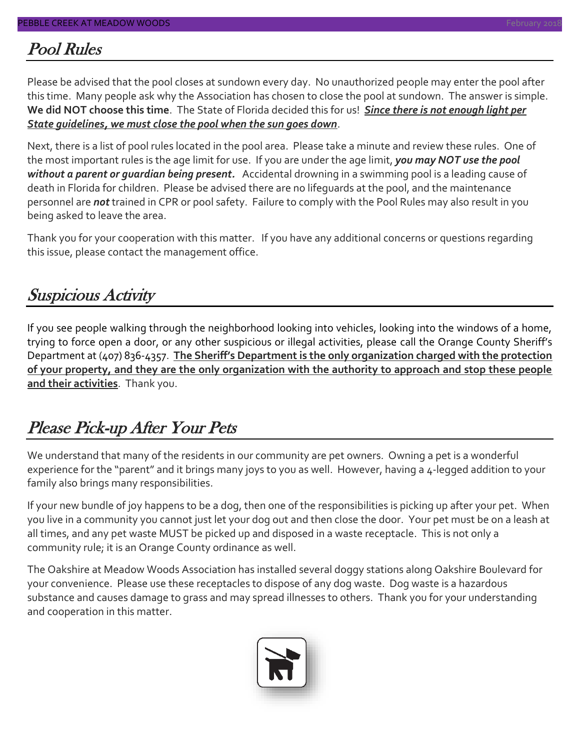#### Pool Rules

Please be advised that the pool closes at sundown every day. No unauthorized people may enter the pool after this time. Many people ask why the Association has chosen to close the pool at sundown. The answer is simple. **We did NOT choose this time**. The State of Florida decided this for us! *Since there is not enough light per State guidelines, we must close the pool when the sun goes down*.

Next, there is a list of pool rules located in the pool area. Please take a minute and review these rules. One of the most important rules is the age limit for use. If you are under the age limit, *you may NOT use the pool without a parent or guardian being present.* Accidental drowning in a swimming pool is a leading cause of death in Florida for children. Please be advised there are no lifeguards at the pool, and the maintenance personnel are *not* trained in CPR or pool safety. Failure to comply with the Pool Rules may also result in you being asked to leave the area.

Thank you for your cooperation with this matter. If you have any additional concerns or questions regarding this issue, please contact the management office.

### Suspicious Activity

If you see people walking through the neighborhood looking into vehicles, looking into the windows of a home, trying to force open a door, or any other suspicious or illegal activities, please call the Orange County Sheriff's Department at (407) 836-4357. **The Sheriff's Department is the only organization charged with the protection of your property, and they are the only organization with the authority to approach and stop these people and their activities**. Thank you.

### Please Pick-up After Your Pets

We understand that many of the residents in our community are pet owners. Owning a pet is a wonderful experience for the "parent" and it brings many joys to you as well. However, having a 4-legged addition to your family also brings many responsibilities.

If your new bundle of joy happens to be a dog, then one of the responsibilities is picking up after your pet. When you live in a community you cannot just let your dog out and then close the door. Your pet must be on a leash at all times, and any pet waste MUST be picked up and disposed in a waste receptacle. This is not only a community rule; it is an Orange County ordinance as well.

The Oakshire at Meadow Woods Association has installed several doggy stations along Oakshire Boulevard for your convenience. Please use these receptacles to dispose of any dog waste. Dog waste is a hazardous substance and causes damage to grass and may spread illnesses to others. Thank you for your understanding and cooperation in this matter.

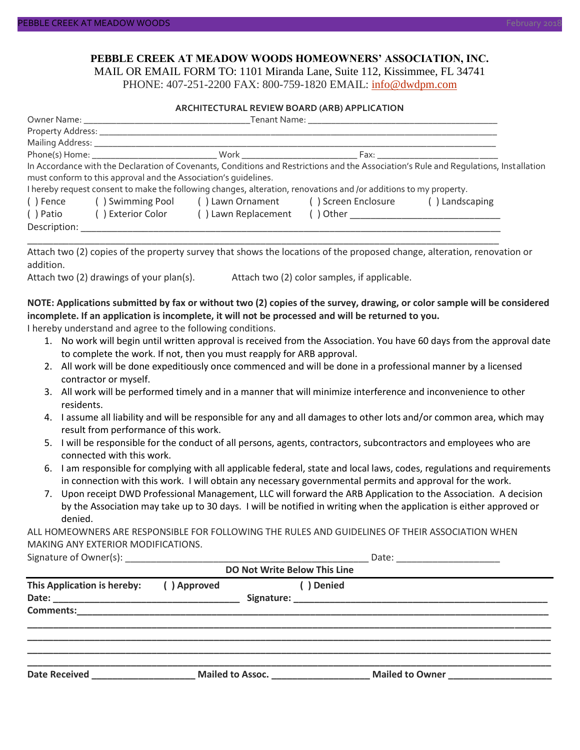#### **PEBBLE CREEK AT MEADOW WOODS HOMEOWNERS' ASSOCIATION, INC.**

MAIL OR EMAIL FORM TO: 1101 Miranda Lane, Suite 112, Kissimmee, FL 34741 PHONE: 407-251-2200 FAX: 800-759-1820 EMAIL: [info@dwdpm.com](mailto:info@dwdpm.com)

#### **ARCHITECTURAL REVIEW BOARD (ARB) APPLICATION**

|              |                                                                 |                                                                                                                   |                                              | In Accordance with the Declaration of Covenants, Conditions and Restrictions and the Association's Rule and Requlations, Installation |  |  |
|--------------|-----------------------------------------------------------------|-------------------------------------------------------------------------------------------------------------------|----------------------------------------------|---------------------------------------------------------------------------------------------------------------------------------------|--|--|
|              | must conform to this approval and the Association's quidelines. |                                                                                                                   |                                              |                                                                                                                                       |  |  |
|              |                                                                 | I hereby request consent to make the following changes, alteration, renovations and /or additions to my property. |                                              |                                                                                                                                       |  |  |
|              |                                                                 | () Fence () Swimming Pool () Lawn Ornament () Screen Enclosure () Landscaping                                     |                                              |                                                                                                                                       |  |  |
|              |                                                                 | () Patio () Exterior Color () Lawn Replacement () Other                                                           |                                              |                                                                                                                                       |  |  |
| Description: |                                                                 |                                                                                                                   |                                              |                                                                                                                                       |  |  |
|              |                                                                 |                                                                                                                   |                                              |                                                                                                                                       |  |  |
|              |                                                                 |                                                                                                                   |                                              | Attach two (2) copies of the property survey that shows the locations of the proposed change, alteration, renovation or               |  |  |
| addition.    |                                                                 |                                                                                                                   |                                              |                                                                                                                                       |  |  |
|              | Attach two (2) drawings of your plan(s).                        |                                                                                                                   | Attach two (2) color samples, if applicable. |                                                                                                                                       |  |  |
|              |                                                                 |                                                                                                                   |                                              |                                                                                                                                       |  |  |
|              |                                                                 |                                                                                                                   |                                              |                                                                                                                                       |  |  |

#### **NOTE: Applications submitted by fax or without two (2) copies of the survey, drawing, or color sample will be considered incomplete. If an application is incomplete, it will not be processed and will be returned to you.**

I hereby understand and agree to the following conditions.

- 1. No work will begin until written approval is received from the Association. You have 60 days from the approval date to complete the work. If not, then you must reapply for ARB approval.
- 2. All work will be done expeditiously once commenced and will be done in a professional manner by a licensed contractor or myself.
- 3. All work will be performed timely and in a manner that will minimize interference and inconvenience to other residents.
- 4. I assume all liability and will be responsible for any and all damages to other lots and/or common area, which may result from performance of this work.
- 5. I will be responsible for the conduct of all persons, agents, contractors, subcontractors and employees who are connected with this work.
- 6. I am responsible for complying with all applicable federal, state and local laws, codes, regulations and requirements in connection with this work. I will obtain any necessary governmental permits and approval for the work.
- 7. Upon receipt DWD Professional Management, LLC will forward the ARB Application to the Association. A decision by the Association may take up to 30 days. I will be notified in writing when the application is either approved or denied.

ALL HOMEOWNERS ARE RESPONSIBLE FOR FOLLOWING THE RULES AND GUIDELINES OF THEIR ASSOCIATION WHEN MAKING ANY EXTERIOR MODIFICATIONS.

|                             |                         |  | DO Not Write Below This Line |                        |  |
|-----------------------------|-------------------------|--|------------------------------|------------------------|--|
| This Application is hereby: | () Approved             |  | () Denied                    |                        |  |
|                             |                         |  |                              |                        |  |
|                             |                         |  |                              |                        |  |
|                             |                         |  |                              |                        |  |
|                             |                         |  |                              |                        |  |
|                             |                         |  |                              |                        |  |
|                             |                         |  |                              |                        |  |
| <b>Date Received</b>        | <b>Mailed to Assoc.</b> |  |                              | <b>Mailed to Owner</b> |  |